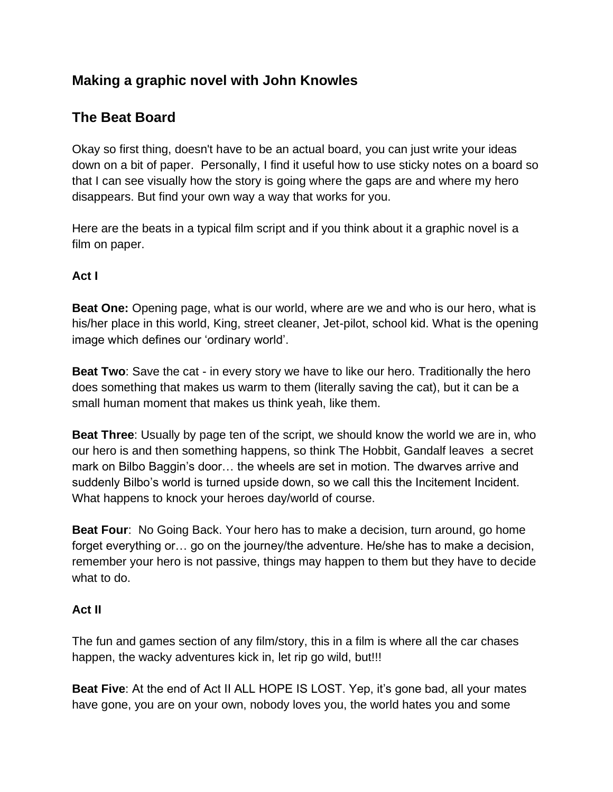# **Making a graphic novel with John Knowles**

## **The Beat Board**

Okay so first thing, doesn't have to be an actual board, you can just write your ideas down on a bit of paper. Personally, I find it useful how to use sticky notes on a board so that I can see visually how the story is going where the gaps are and where my hero disappears. But find your own way a way that works for you.

Here are the beats in a typical film script and if you think about it a graphic novel is a film on paper.

## **Act I**

**Beat One:** Opening page, what is our world, where are we and who is our hero, what is his/her place in this world, King, street cleaner, Jet-pilot, school kid. What is the opening image which defines our 'ordinary world'.

**Beat Two**: Save the cat - in every story we have to like our hero. Traditionally the hero does something that makes us warm to them (literally saving the cat), but it can be a small human moment that makes us think yeah, like them.

**Beat Three**: Usually by page ten of the script, we should know the world we are in, who our hero is and then something happens, so think The Hobbit, Gandalf leaves a secret mark on Bilbo Baggin's door… the wheels are set in motion. The dwarves arrive and suddenly Bilbo's world is turned upside down, so we call this the Incitement Incident. What happens to knock your heroes day/world of course.

**Beat Four**: No Going Back. Your hero has to make a decision, turn around, go home forget everything or… go on the journey/the adventure. He/she has to make a decision, remember your hero is not passive, things may happen to them but they have to decide what to do.

## **Act II**

The fun and games section of any film/story, this in a film is where all the car chases happen, the wacky adventures kick in, let rip go wild, but!!!

**Beat Five**: At the end of Act II ALL HOPE IS LOST. Yep, it's gone bad, all your mates have gone, you are on your own, nobody loves you, the world hates you and some